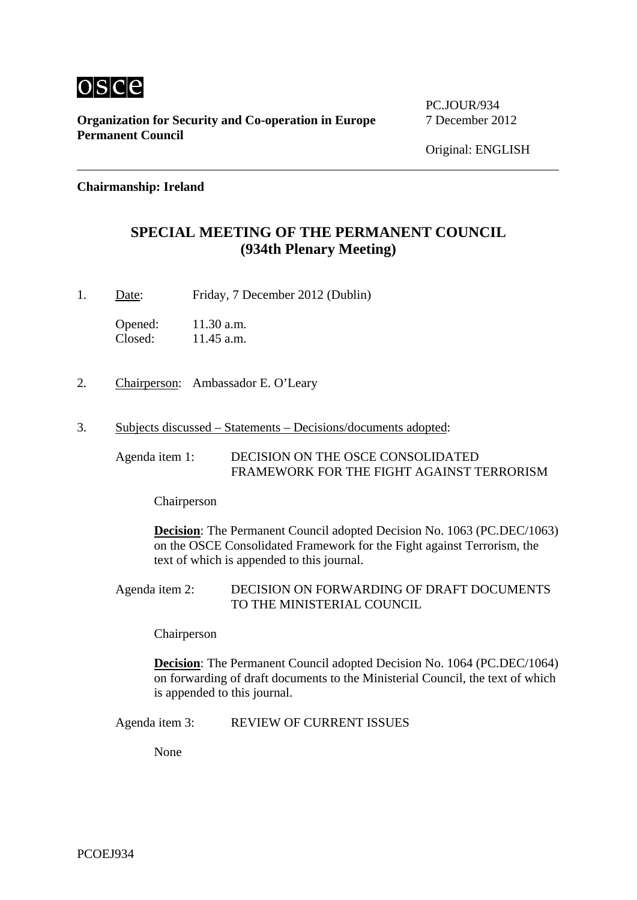

**Organization for Security and Co-operation in Europe** 7 December 2012 **Permanent Council** 

PC.JOUR/934

#### **Chairmanship: Ireland**

# **SPECIAL MEETING OF THE PERMANENT COUNCIL (934th Plenary Meeting)**

1. Date: Friday, 7 December 2012 (Dublin)

Opened: 11.30 a.m. Closed: 11.45 a.m.

- 2. Chairperson: Ambassador E. O'Leary
- 3. Subjects discussed Statements Decisions/documents adopted:

Agenda item 1: DECISION ON THE OSCE CONSOLIDATED FRAMEWORK FOR THE FIGHT AGAINST TERRORISM

Chairperson

**Decision**: The Permanent Council adopted Decision No. 1063 (PC.DEC/1063) on the OSCE Consolidated Framework for the Fight against Terrorism, the text of which is appended to this journal.

Agenda item 2: DECISION ON FORWARDING OF DRAFT DOCUMENTS TO THE MINISTERIAL COUNCIL

Chairperson

**Decision**: The Permanent Council adopted Decision No. 1064 (PC.DEC/1064) on forwarding of draft documents to the Ministerial Council, the text of which is appended to this journal.

Agenda item 3: REVIEW OF CURRENT ISSUES

None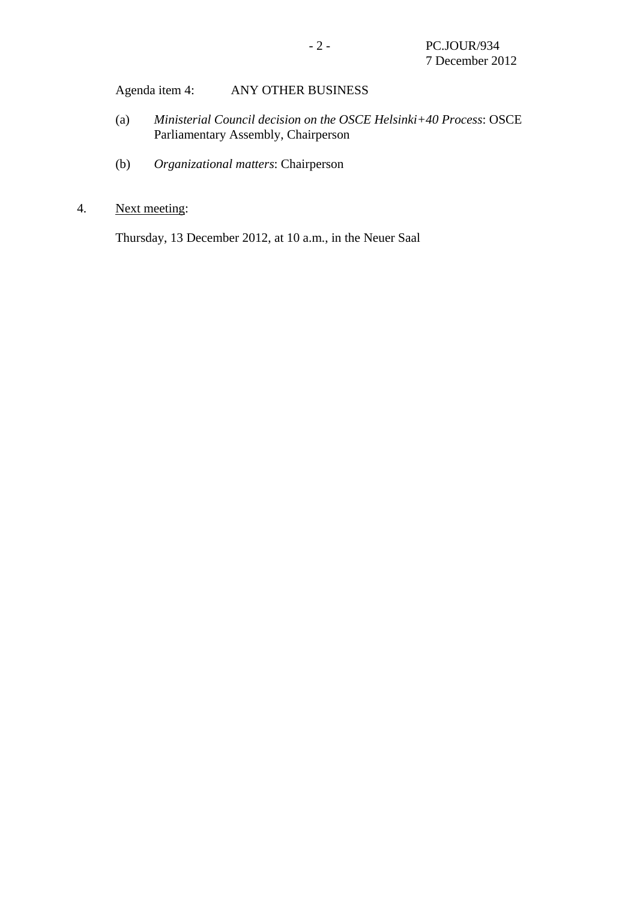Agenda item 4: ANY OTHER BUSINESS

- (a) *Ministerial Council decision on the OSCE Helsinki+40 Process*: OSCE Parliamentary Assembly, Chairperson
- (b) *Organizational matters*: Chairperson
- 4. Next meeting:

Thursday, 13 December 2012, at 10 a.m., in the Neuer Saal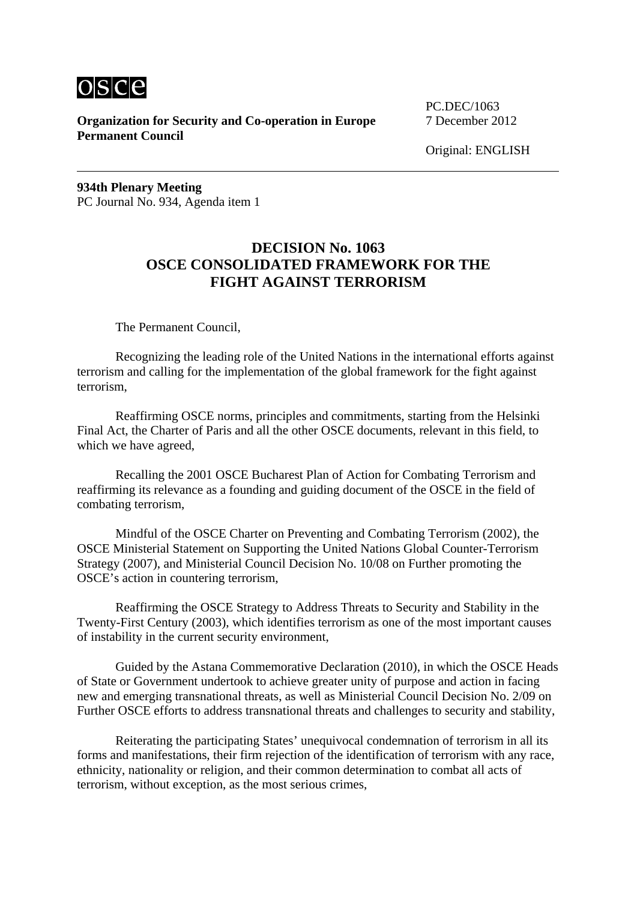

**Organization for Security and Co-operation in Europe** 7 December 2012 **Permanent Council** 

PC.DEC/1063

Original: ENGLISH

**934th Plenary Meeting**  PC Journal No. 934, Agenda item 1

#### **DECISION No. 1063 OSCE CONSOLIDATED FRAMEWORK FOR THE FIGHT AGAINST TERRORISM**

The Permanent Council,

 Recognizing the leading role of the United Nations in the international efforts against terrorism and calling for the implementation of the global framework for the fight against terrorism,

 Reaffirming OSCE norms, principles and commitments, starting from the Helsinki Final Act, the Charter of Paris and all the other OSCE documents, relevant in this field, to which we have agreed,

 Recalling the 2001 OSCE Bucharest Plan of Action for Combating Terrorism and reaffirming its relevance as a founding and guiding document of the OSCE in the field of combating terrorism,

 Mindful of the OSCE Charter on Preventing and Combating Terrorism (2002), the OSCE Ministerial Statement on Supporting the United Nations Global Counter-Terrorism Strategy (2007), and Ministerial Council Decision No. 10/08 on Further promoting the OSCE's action in countering terrorism,

 Reaffirming the OSCE Strategy to Address Threats to Security and Stability in the Twenty-First Century (2003), which identifies terrorism as one of the most important causes of instability in the current security environment,

 Guided by the Astana Commemorative Declaration (2010), in which the OSCE Heads of State or Government undertook to achieve greater unity of purpose and action in facing new and emerging transnational threats, as well as Ministerial Council Decision No. 2/09 on Further OSCE efforts to address transnational threats and challenges to security and stability,

 Reiterating the participating States' unequivocal condemnation of terrorism in all its forms and manifestations, their firm rejection of the identification of terrorism with any race, ethnicity, nationality or religion, and their common determination to combat all acts of terrorism, without exception, as the most serious crimes,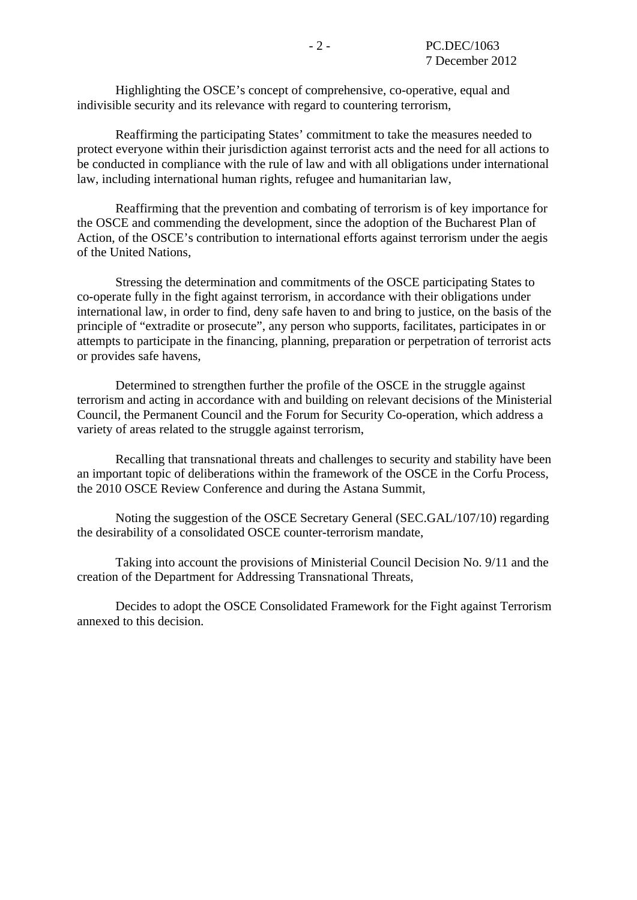Highlighting the OSCE's concept of comprehensive, co-operative, equal and indivisible security and its relevance with regard to countering terrorism,

 Reaffirming the participating States' commitment to take the measures needed to protect everyone within their jurisdiction against terrorist acts and the need for all actions to be conducted in compliance with the rule of law and with all obligations under international law, including international human rights, refugee and humanitarian law,

 Reaffirming that the prevention and combating of terrorism is of key importance for the OSCE and commending the development, since the adoption of the Bucharest Plan of Action, of the OSCE's contribution to international efforts against terrorism under the aegis of the United Nations,

 Stressing the determination and commitments of the OSCE participating States to co-operate fully in the fight against terrorism, in accordance with their obligations under international law, in order to find, deny safe haven to and bring to justice, on the basis of the principle of "extradite or prosecute", any person who supports, facilitates, participates in or attempts to participate in the financing, planning, preparation or perpetration of terrorist acts or provides safe havens,

 Determined to strengthen further the profile of the OSCE in the struggle against terrorism and acting in accordance with and building on relevant decisions of the Ministerial Council, the Permanent Council and the Forum for Security Co-operation, which address a variety of areas related to the struggle against terrorism,

 Recalling that transnational threats and challenges to security and stability have been an important topic of deliberations within the framework of the OSCE in the Corfu Process, the 2010 OSCE Review Conference and during the Astana Summit,

 Noting the suggestion of the OSCE Secretary General (SEC.GAL/107/10) regarding the desirability of a consolidated OSCE counter-terrorism mandate,

 Taking into account the provisions of Ministerial Council Decision No. 9/11 and the creation of the Department for Addressing Transnational Threats,

 Decides to adopt the OSCE Consolidated Framework for the Fight against Terrorism annexed to this decision.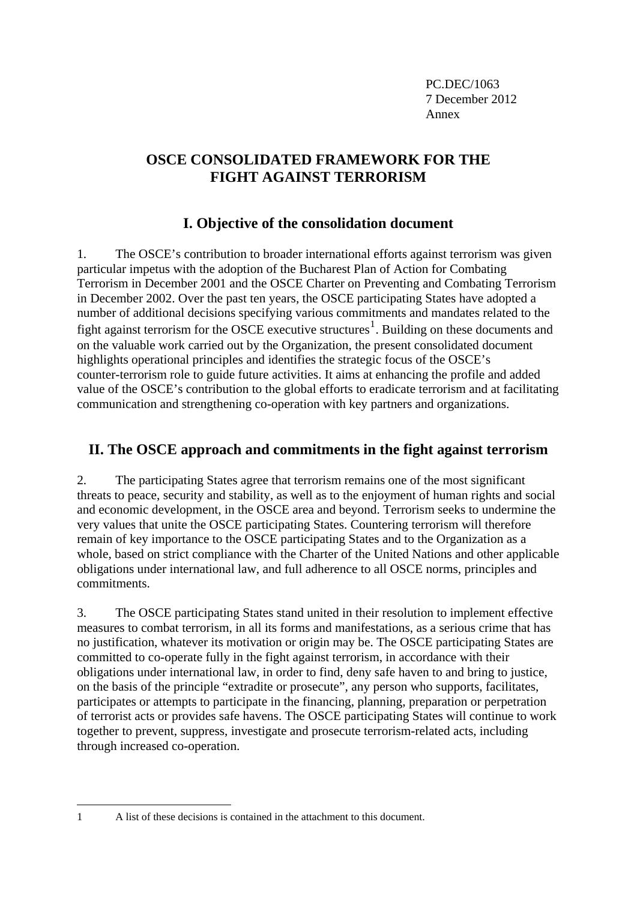PC.DEC/1063 7 December 2012 Annex

# **OSCE CONSOLIDATED FRAMEWORK FOR THE FIGHT AGAINST TERRORISM**

# **I. Objective of the consolidation document**

1. The OSCE's contribution to broader international efforts against terrorism was given particular impetus with the adoption of the Bucharest Plan of Action for Combating Terrorism in December 2001 and the OSCE Charter on Preventing and Combating Terrorism in December 2002. Over the past ten years, the OSCE participating States have adopted a number of additional decisions specifying various commitments and mandates related to the fight against terrorism for the OSCE executive structures<sup>[1](#page-4-0)</sup>. Building on these documents and on the valuable work carried out by the Organization, the present consolidated document highlights operational principles and identifies the strategic focus of the OSCE's counter-terrorism role to guide future activities. It aims at enhancing the profile and added value of the OSCE's contribution to the global efforts to eradicate terrorism and at facilitating communication and strengthening co-operation with key partners and organizations.

# **II. The OSCE approach and commitments in the fight against terrorism**

2. The participating States agree that terrorism remains one of the most significant threats to peace, security and stability, as well as to the enjoyment of human rights and social and economic development, in the OSCE area and beyond. Terrorism seeks to undermine the very values that unite the OSCE participating States. Countering terrorism will therefore remain of key importance to the OSCE participating States and to the Organization as a whole, based on strict compliance with the Charter of the United Nations and other applicable obligations under international law, and full adherence to all OSCE norms, principles and commitments.

3. The OSCE participating States stand united in their resolution to implement effective measures to combat terrorism, in all its forms and manifestations, as a serious crime that has no justification, whatever its motivation or origin may be. The OSCE participating States are committed to co-operate fully in the fight against terrorism, in accordance with their obligations under international law, in order to find, deny safe haven to and bring to justice, on the basis of the principle "extradite or prosecute", any person who supports, facilitates, participates or attempts to participate in the financing, planning, preparation or perpetration of terrorist acts or provides safe havens. The OSCE participating States will continue to work together to prevent, suppress, investigate and prosecute terrorism-related acts, including through increased co-operation.

1

<span id="page-4-0"></span><sup>1</sup> A list of these decisions is contained in the attachment to this document.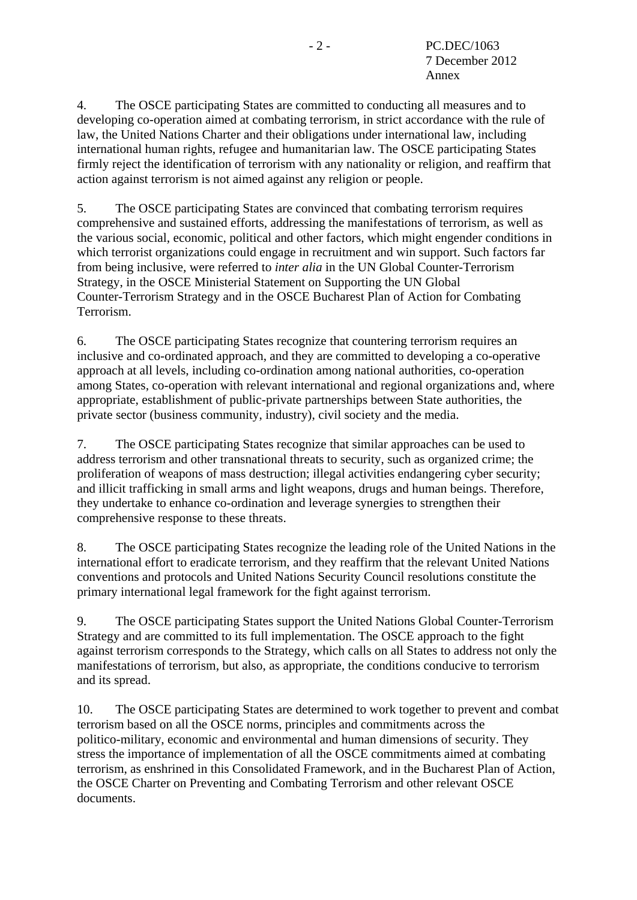4. The OSCE participating States are committed to conducting all measures and to developing co-operation aimed at combating terrorism, in strict accordance with the rule of law, the United Nations Charter and their obligations under international law, including international human rights, refugee and humanitarian law. The OSCE participating States firmly reject the identification of terrorism with any nationality or religion, and reaffirm that action against terrorism is not aimed against any religion or people.

5. The OSCE participating States are convinced that combating terrorism requires comprehensive and sustained efforts, addressing the manifestations of terrorism, as well as the various social, economic, political and other factors, which might engender conditions in which terrorist organizations could engage in recruitment and win support. Such factors far from being inclusive, were referred to *inter alia* in the UN Global Counter-Terrorism Strategy, in the OSCE Ministerial Statement on Supporting the UN Global Counter-Terrorism Strategy and in the OSCE Bucharest Plan of Action for Combating Terrorism.

6. The OSCE participating States recognize that countering terrorism requires an inclusive and co-ordinated approach, and they are committed to developing a co-operative approach at all levels, including co-ordination among national authorities, co-operation among States, co-operation with relevant international and regional organizations and, where appropriate, establishment of public-private partnerships between State authorities, the private sector (business community, industry), civil society and the media.

7. The OSCE participating States recognize that similar approaches can be used to address terrorism and other transnational threats to security, such as organized crime; the proliferation of weapons of mass destruction; illegal activities endangering cyber security; and illicit trafficking in small arms and light weapons, drugs and human beings. Therefore, they undertake to enhance co-ordination and leverage synergies to strengthen their comprehensive response to these threats.

8. The OSCE participating States recognize the leading role of the United Nations in the international effort to eradicate terrorism, and they reaffirm that the relevant United Nations conventions and protocols and United Nations Security Council resolutions constitute the primary international legal framework for the fight against terrorism.

9. The OSCE participating States support the United Nations Global Counter-Terrorism Strategy and are committed to its full implementation. The OSCE approach to the fight against terrorism corresponds to the Strategy, which calls on all States to address not only the manifestations of terrorism, but also, as appropriate, the conditions conducive to terrorism and its spread.

10. The OSCE participating States are determined to work together to prevent and combat terrorism based on all the OSCE norms, principles and commitments across the politico-military, economic and environmental and human dimensions of security. They stress the importance of implementation of all the OSCE commitments aimed at combating terrorism, as enshrined in this Consolidated Framework, and in the Bucharest Plan of Action, the OSCE Charter on Preventing and Combating Terrorism and other relevant OSCE documents.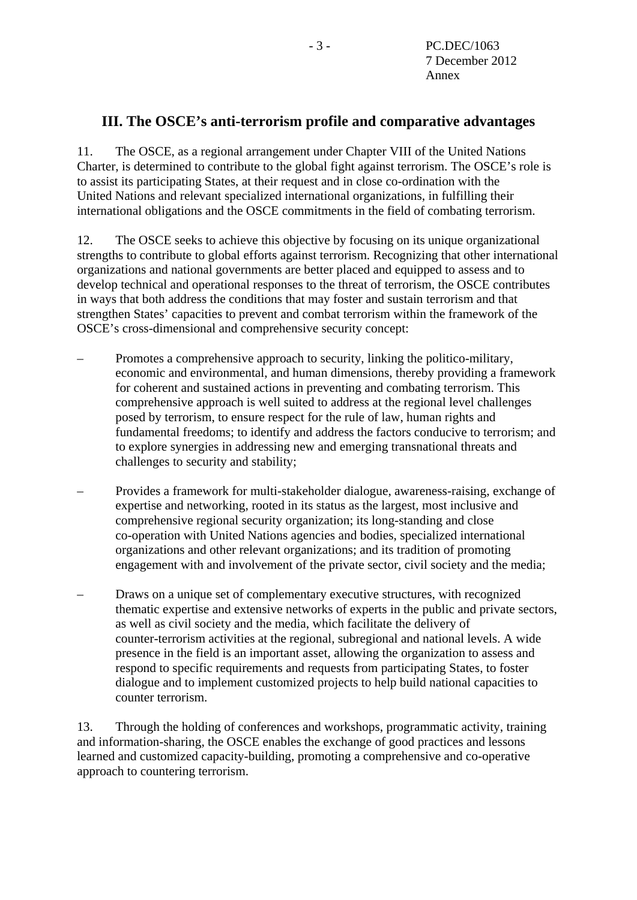# **III. The OSCE's anti-terrorism profile and comparative advantages**

11. The OSCE, as a regional arrangement under Chapter VIII of the United Nations Charter, is determined to contribute to the global fight against terrorism. The OSCE's role is to assist its participating States, at their request and in close co-ordination with the United Nations and relevant specialized international organizations, in fulfilling their international obligations and the OSCE commitments in the field of combating terrorism.

12. The OSCE seeks to achieve this objective by focusing on its unique organizational strengths to contribute to global efforts against terrorism. Recognizing that other international organizations and national governments are better placed and equipped to assess and to develop technical and operational responses to the threat of terrorism, the OSCE contributes in ways that both address the conditions that may foster and sustain terrorism and that strengthen States' capacities to prevent and combat terrorism within the framework of the OSCE's cross-dimensional and comprehensive security concept:

- Promotes a comprehensive approach to security, linking the politico-military, economic and environmental, and human dimensions, thereby providing a framework for coherent and sustained actions in preventing and combating terrorism. This comprehensive approach is well suited to address at the regional level challenges posed by terrorism, to ensure respect for the rule of law, human rights and fundamental freedoms; to identify and address the factors conducive to terrorism; and to explore synergies in addressing new and emerging transnational threats and challenges to security and stability;
- Provides a framework for multi-stakeholder dialogue, awareness-raising, exchange of expertise and networking, rooted in its status as the largest, most inclusive and comprehensive regional security organization; its long-standing and close co-operation with United Nations agencies and bodies, specialized international organizations and other relevant organizations; and its tradition of promoting engagement with and involvement of the private sector, civil society and the media;
- Draws on a unique set of complementary executive structures, with recognized thematic expertise and extensive networks of experts in the public and private sectors, as well as civil society and the media, which facilitate the delivery of counter-terrorism activities at the regional, subregional and national levels. A wide presence in the field is an important asset, allowing the organization to assess and respond to specific requirements and requests from participating States, to foster dialogue and to implement customized projects to help build national capacities to counter terrorism.

13. Through the holding of conferences and workshops, programmatic activity, training and information-sharing, the OSCE enables the exchange of good practices and lessons learned and customized capacity-building, promoting a comprehensive and co-operative approach to countering terrorism.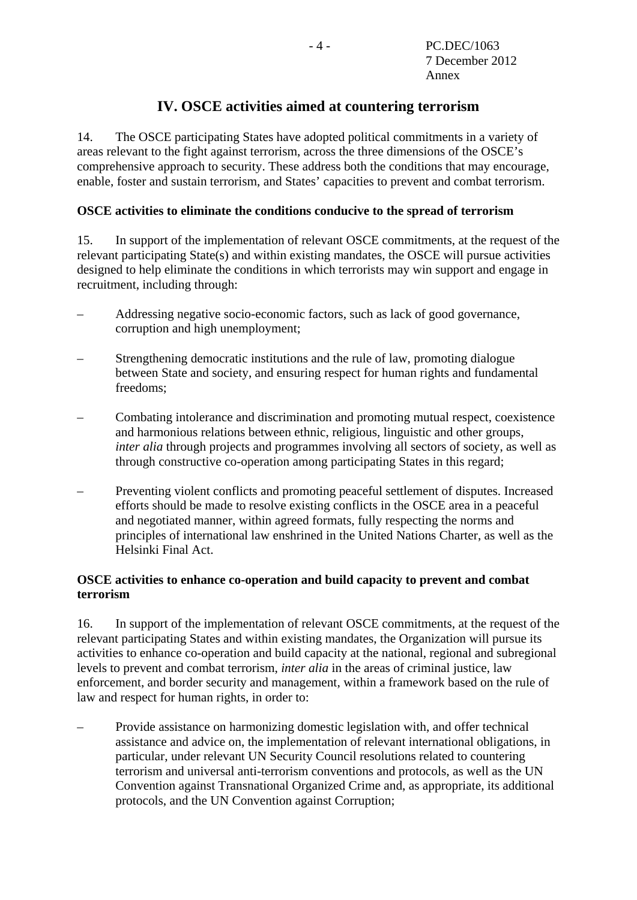# **IV. OSCE activities aimed at countering terrorism**

14. The OSCE participating States have adopted political commitments in a variety of areas relevant to the fight against terrorism, across the three dimensions of the OSCE's comprehensive approach to security. These address both the conditions that may encourage, enable, foster and sustain terrorism, and States' capacities to prevent and combat terrorism.

#### **OSCE activities to eliminate the conditions conducive to the spread of terrorism**

15. In support of the implementation of relevant OSCE commitments, at the request of the relevant participating State(s) and within existing mandates, the OSCE will pursue activities designed to help eliminate the conditions in which terrorists may win support and engage in recruitment, including through:

- Addressing negative socio-economic factors, such as lack of good governance, corruption and high unemployment;
- Strengthening democratic institutions and the rule of law, promoting dialogue between State and society, and ensuring respect for human rights and fundamental freedoms;
- Combating intolerance and discrimination and promoting mutual respect, coexistence and harmonious relations between ethnic, religious, linguistic and other groups, *inter alia* through projects and programmes involving all sectors of society, as well as through constructive co-operation among participating States in this regard;
- Preventing violent conflicts and promoting peaceful settlement of disputes. Increased efforts should be made to resolve existing conflicts in the OSCE area in a peaceful and negotiated manner, within agreed formats, fully respecting the norms and principles of international law enshrined in the United Nations Charter, as well as the Helsinki Final Act.

#### **OSCE activities to enhance co-operation and build capacity to prevent and combat terrorism**

16. In support of the implementation of relevant OSCE commitments, at the request of the relevant participating States and within existing mandates, the Organization will pursue its activities to enhance co-operation and build capacity at the national, regional and subregional levels to prevent and combat terrorism, *inter alia* in the areas of criminal justice, law enforcement, and border security and management, within a framework based on the rule of law and respect for human rights, in order to:

– Provide assistance on harmonizing domestic legislation with, and offer technical assistance and advice on, the implementation of relevant international obligations, in particular, under relevant UN Security Council resolutions related to countering terrorism and universal anti-terrorism conventions and protocols, as well as the UN Convention against Transnational Organized Crime and, as appropriate, its additional protocols, and the UN Convention against Corruption;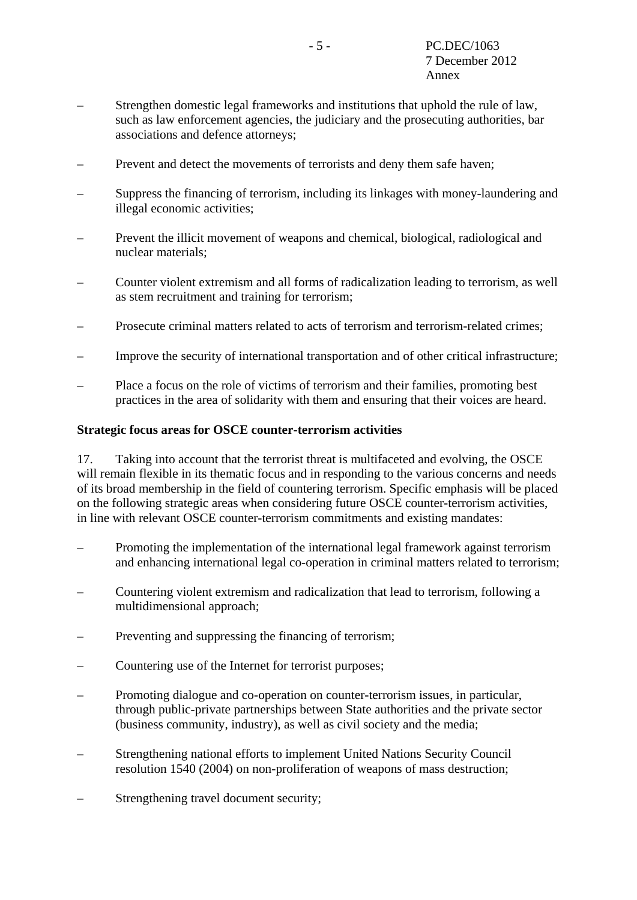- Strengthen domestic legal frameworks and institutions that uphold the rule of law, such as law enforcement agencies, the judiciary and the prosecuting authorities, bar associations and defence attorneys;
- Prevent and detect the movements of terrorists and deny them safe haven;
- Suppress the financing of terrorism, including its linkages with money-laundering and illegal economic activities;
- Prevent the illicit movement of weapons and chemical, biological, radiological and nuclear materials;
- Counter violent extremism and all forms of radicalization leading to terrorism, as well as stem recruitment and training for terrorism;
- Prosecute criminal matters related to acts of terrorism and terrorism-related crimes;
- Improve the security of international transportation and of other critical infrastructure;
- Place a focus on the role of victims of terrorism and their families, promoting best practices in the area of solidarity with them and ensuring that their voices are heard.

#### **Strategic focus areas for OSCE counter-terrorism activities**

17. Taking into account that the terrorist threat is multifaceted and evolving, the OSCE will remain flexible in its thematic focus and in responding to the various concerns and needs of its broad membership in the field of countering terrorism. Specific emphasis will be placed on the following strategic areas when considering future OSCE counter-terrorism activities, in line with relevant OSCE counter-terrorism commitments and existing mandates:

- Promoting the implementation of the international legal framework against terrorism and enhancing international legal co-operation in criminal matters related to terrorism;
- Countering violent extremism and radicalization that lead to terrorism, following a multidimensional approach;
- Preventing and suppressing the financing of terrorism;
- Countering use of the Internet for terrorist purposes;
- Promoting dialogue and co-operation on counter-terrorism issues, in particular, through public-private partnerships between State authorities and the private sector (business community, industry), as well as civil society and the media;
- Strengthening national efforts to implement United Nations Security Council resolution 1540 (2004) on non-proliferation of weapons of mass destruction;
- Strengthening travel document security;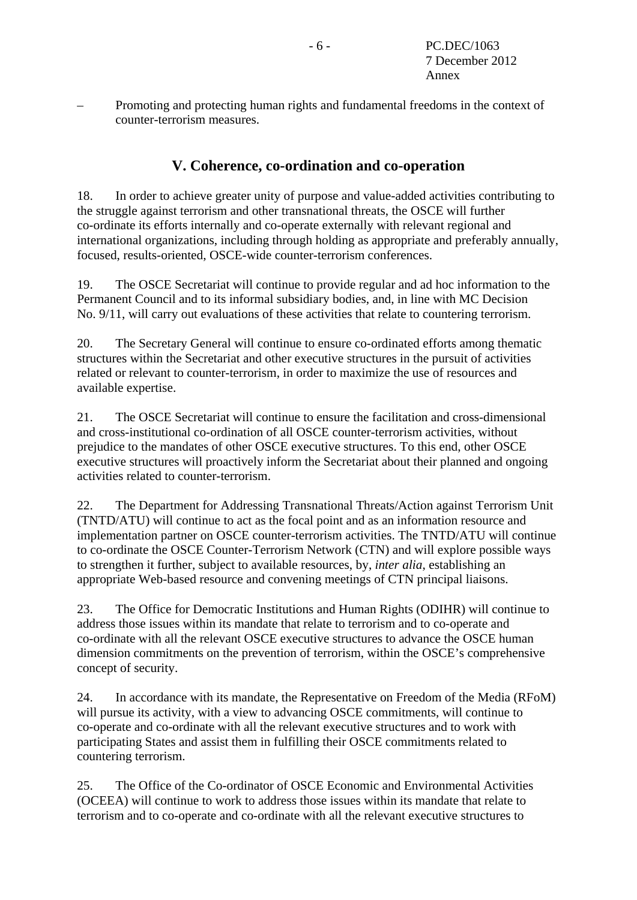– Promoting and protecting human rights and fundamental freedoms in the context of counter-terrorism measures.

### **V. Coherence, co-ordination and co-operation**

18. In order to achieve greater unity of purpose and value-added activities contributing to the struggle against terrorism and other transnational threats, the OSCE will further co-ordinate its efforts internally and co-operate externally with relevant regional and international organizations, including through holding as appropriate and preferably annually, focused, results-oriented, OSCE-wide counter-terrorism conferences.

19. The OSCE Secretariat will continue to provide regular and ad hoc information to the Permanent Council and to its informal subsidiary bodies, and, in line with MC Decision No. 9/11, will carry out evaluations of these activities that relate to countering terrorism.

20. The Secretary General will continue to ensure co-ordinated efforts among thematic structures within the Secretariat and other executive structures in the pursuit of activities related or relevant to counter-terrorism, in order to maximize the use of resources and available expertise.

21. The OSCE Secretariat will continue to ensure the facilitation and cross-dimensional and cross-institutional co-ordination of all OSCE counter-terrorism activities, without prejudice to the mandates of other OSCE executive structures. To this end, other OSCE executive structures will proactively inform the Secretariat about their planned and ongoing activities related to counter-terrorism.

22. The Department for Addressing Transnational Threats/Action against Terrorism Unit (TNTD/ATU) will continue to act as the focal point and as an information resource and implementation partner on OSCE counter-terrorism activities. The TNTD/ATU will continue to co-ordinate the OSCE Counter-Terrorism Network (CTN) and will explore possible ways to strengthen it further, subject to available resources, by, *inter alia*, establishing an appropriate Web-based resource and convening meetings of CTN principal liaisons.

23. The Office for Democratic Institutions and Human Rights (ODIHR) will continue to address those issues within its mandate that relate to terrorism and to co-operate and co-ordinate with all the relevant OSCE executive structures to advance the OSCE human dimension commitments on the prevention of terrorism, within the OSCE's comprehensive concept of security.

24. In accordance with its mandate, the Representative on Freedom of the Media (RFoM) will pursue its activity, with a view to advancing OSCE commitments, will continue to co-operate and co-ordinate with all the relevant executive structures and to work with participating States and assist them in fulfilling their OSCE commitments related to countering terrorism.

25. The Office of the Co-ordinator of OSCE Economic and Environmental Activities (OCEEA) will continue to work to address those issues within its mandate that relate to terrorism and to co-operate and co-ordinate with all the relevant executive structures to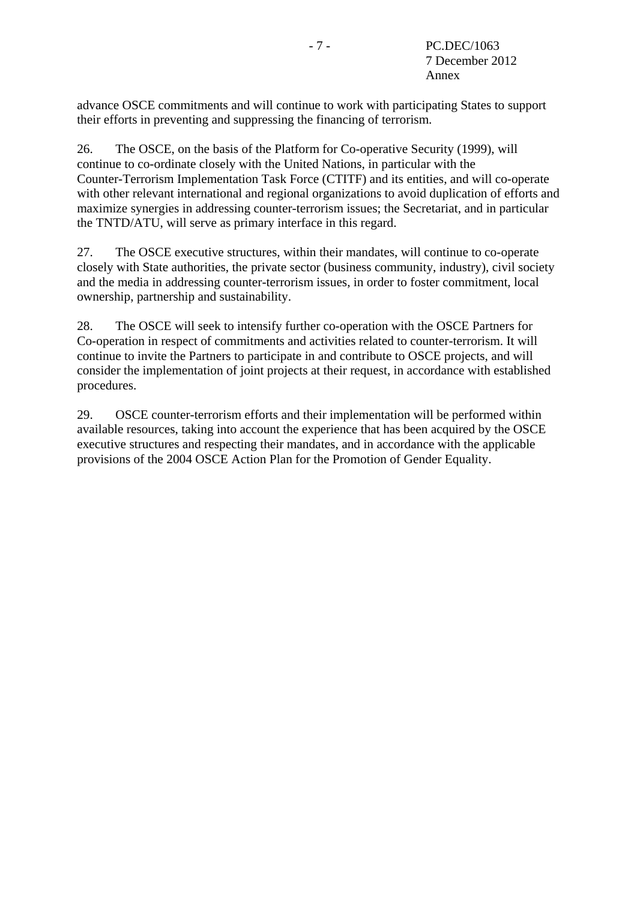advance OSCE commitments and will continue to work with participating States to support their efforts in preventing and suppressing the financing of terrorism.

26. The OSCE, on the basis of the Platform for Co-operative Security (1999), will continue to co-ordinate closely with the United Nations, in particular with the Counter-Terrorism Implementation Task Force (CTITF) and its entities, and will co-operate with other relevant international and regional organizations to avoid duplication of efforts and maximize synergies in addressing counter-terrorism issues; the Secretariat, and in particular the TNTD/ATU, will serve as primary interface in this regard.

27. The OSCE executive structures, within their mandates, will continue to co-operate closely with State authorities, the private sector (business community, industry), civil society and the media in addressing counter-terrorism issues, in order to foster commitment, local ownership, partnership and sustainability.

28. The OSCE will seek to intensify further co-operation with the OSCE Partners for Co-operation in respect of commitments and activities related to counter-terrorism. It will continue to invite the Partners to participate in and contribute to OSCE projects, and will consider the implementation of joint projects at their request, in accordance with established procedures.

29. OSCE counter-terrorism efforts and their implementation will be performed within available resources, taking into account the experience that has been acquired by the OSCE executive structures and respecting their mandates, and in accordance with the applicable provisions of the 2004 OSCE Action Plan for the Promotion of Gender Equality.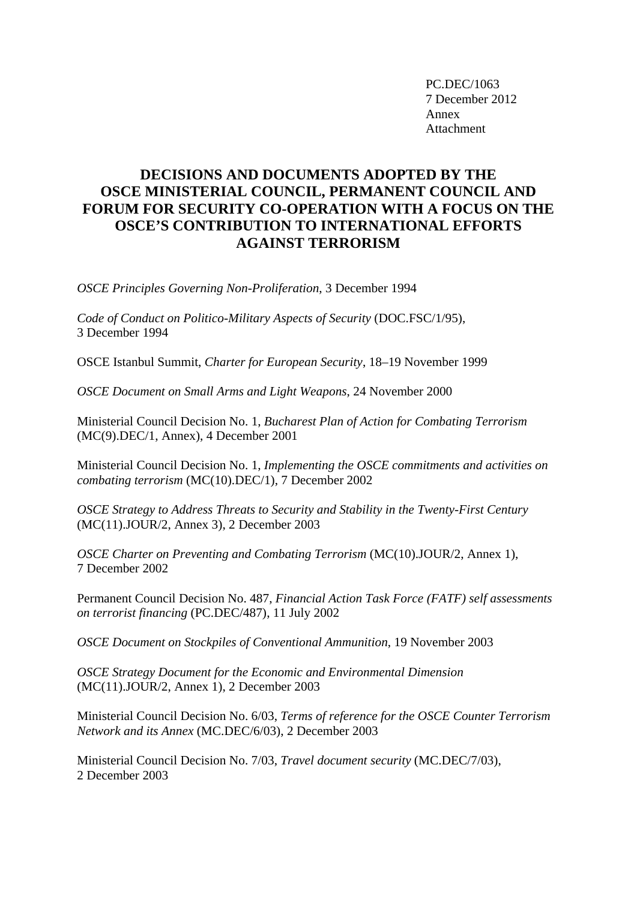PC.DEC/1063 7 December 2012 Annex Attachment

# **DECISIONS AND DOCUMENTS ADOPTED BY THE OSCE MINISTERIAL COUNCIL, PERMANENT COUNCIL AND FORUM FOR SECURITY CO-OPERATION WITH A FOCUS ON THE OSCE'S CONTRIBUTION TO INTERNATIONAL EFFORTS AGAINST TERRORISM**

*[OSCE Principles Governing Non-Proliferation](http://www.osce.org/fsc/16530)*, 3 December 1994

*Code of Conduct on Politico-Military Aspects of Security (DOC.FSC/1/95),* 3 December 1994

OSCE Istanbul Summit, *Charter for European Security*, 18–19 November 1999

*[OSCE Document on Small Arms and Light Weapons](http://www.osce.org/fsc/20783)*, 24 November 2000

Ministerial Council Decision No. 1, *Bucharest Plan of Action for Combating Terrorism*  (MC(9).DEC/1, Annex), 4 December 2001

Ministerial Council Decision No. 1, *Implementing the OSCE commitments and activities on combating terrorism* [\(MC\(10\).DEC/1\)](http://www.osce.org/mc/42530), 7 December 2002

*OSCE Strategy to Address Threats to Security and Stability in the Twenty-First Century*  ([MC\(11\).JOUR/2,](http://www.osce.org/mc/17504) Annex 3), 2 December 2003

*OSCE Charter on Preventing and Combating Terrorism* ([MC\(10\).JOUR/2,](http://www.osce.org/mc/42536) Annex 1), 7 December 2002

Permanent Council Decision No. 487, *Financial Action Task Force (FATF) self assessments on terrorist financing* (PC.DEC/487), 11 July 2002

*[OSCE Document on Stockpiles of Conventional Ammunition](http://www.osce.org/fsc/15792)*, 19 November 2003

*OSCE Strategy Document for the Economic and Environmental Dimension*  ([MC\(11\).JOUR/2,](http://www.osce.org/eea/20705) Annex 1), 2 December 2003

Ministerial Council Decision No. 6/03, *Terms of reference for the OSCE Counter Terrorism Network and its Annex* (MC.DEC/6/03), 2 December 2003

Ministerial Council Decision No. 7/03, *Travel document security* [\(MC.DEC/7/03\)](http://www.osce.org/mc/18445), 2 December 2003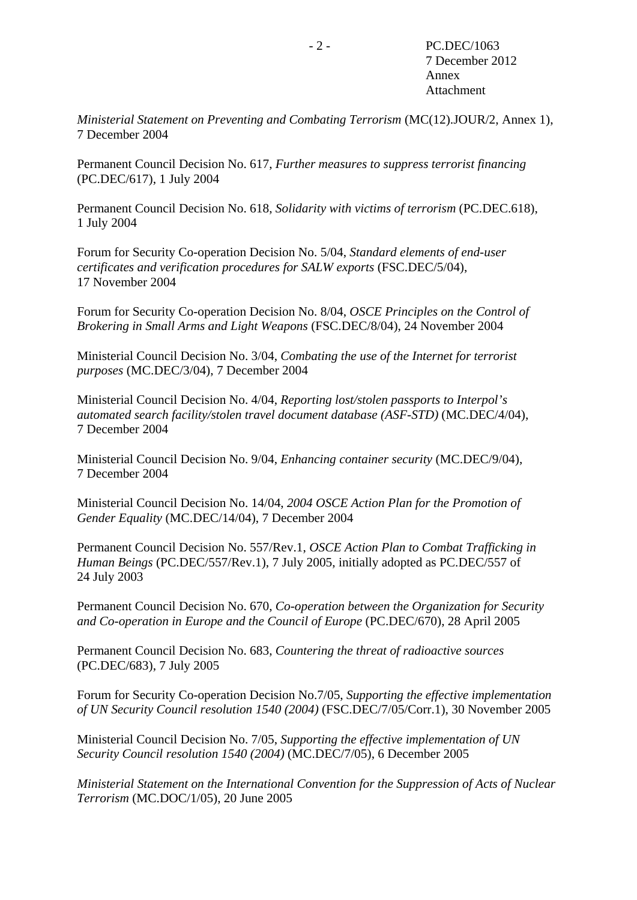*Ministerial Statement on Preventing and Combating Terrorism* [\(MC\(12\).JOUR/2](http://www.osce.org/mc/38760), Annex 1), 7 December 2004

Permanent Council Decision No. 617, *Further measures to suppress terrorist financing*  ([PC.DEC/617](http://www.osce.org/pc/35014)), 1 July 2004

Permanent Council Decision No. 618, *Solidarity with victims of terrorism* (PC.DEC.618), 1 July 2004

Forum for Security Co-operation Decision No. 5/04, *Standard elements of end-user certificates and verification procedures for SALW exports* ([FSC.DEC/5/04\)](http://www.osce.org/fsc/16941), 17 November 2004

Forum for Security Co-operation Decision No. 8/04, *OSCE Principles on the Control of Brokering in Small Arms and Light Weapons* ([FSC.DEC/8/04\)](http://www.osce.org/fsc/18432), 24 November 2004

Ministerial Council Decision No. 3/04, *Combating the use of the Internet for terrorist purposes* [\(MC.DEC/3/04\)](http://www.osce.org/mc/42647), 7 December 2004

Ministerial Council Decision No. 4/04, *Reporting lost/stolen passports to Interpol's automated search facility/stolen travel document database (ASF-STD)* ([MC.DEC/4/04](http://www.osce.org/mc/16414)), 7 December 2004

Ministerial Council Decision No. 9/04, *Enhancing container security* [\(MC.DEC/9/04\)](http://www.osce.org/mc/22537), 7 December 2004

Ministerial Council Decision No. 14/04, *2004 OSCE Action Plan for the Promotion of Gender Equality* (MC.DEC/14/04), 7 December 2004

Permanent Council Decision No. 557/Rev.1, *[OSCE Action Plan to Combat Trafficking in](http://www.osce.org/pc/15944)  [Human Beings](http://www.osce.org/pc/15944)* (PC.DEC/557/Rev.1), 7 July 2005, initially adopted as PC.DEC/557 of 24 July 2003

Permanent Council Decision No. 670, *Co-operation between the Organization for Security and Co-operation in Europe and the Council of Europe* (PC.DEC/670), 28 April 2005

Permanent Council Decision No. 683, *Countering the threat of radioactive sources* ([PC.DEC/683](http://www.osce.org/pc/15919)), 7 July 2005

Forum for Security Co-operation Decision No.7/05, *Supporting the effective implementation of UN Security Council resolution 1540 (2004)* ([FSC.DEC/7/05/Corr.1](http://www.osce.org/fsc/17396)), 30 November 2005

Ministerial Council Decision No. 7/05, *Supporting the effective implementation of UN Security Council resolution 1540 (2004)* ([MC.DEC/7/05](http://www.osce.org/mc/17444)), 6 December 2005

*Ministerial Statement on the International Convention for the Suppression of Acts of Nuclear Terrorism* ([MC.DOC/1/05](http://www.osce.org/mc/17195)), 20 June 2005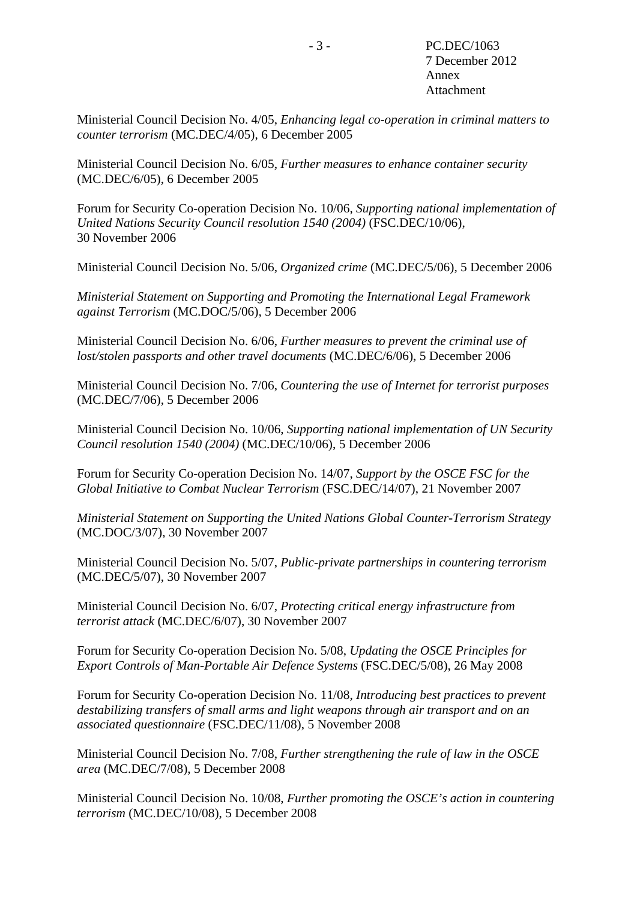Ministerial Council Decision No. 4/05, *Enhancing legal co-operation in criminal matters to counter terrorism* [\(MC.DEC/4/05](http://www.osce.org/mc/17425)), 6 December 2005

Ministerial Council Decision No. 6/05, *Further measures to enhance container security* ([MC.DEC/6/05](http://www.osce.org/mc/17438)), 6 December 2005

Forum for Security Co-operation Decision No. 10/06, *Supporting national implementation of United Nations Security Council resolution 1540 (2004)* ([FSC.DEC/10/06\)](http://www.osce.org/fsc/22712), 30 November 2006

Ministerial Council Decision No. 5/06, *Organized crime* [\(MC.DEC/5/06\)](http://www.osce.org/mc/23060), 5 December 2006

*Ministerial Statement on Supporting and Promoting the International Legal Framework against Terrorism* [\(MC.DOC/5/06\)](http://www.osce.org/mc/23029), 5 December 2006

Ministerial Council Decision No. 6/06, *Further measures to prevent the criminal use of lost/stolen passports and other travel documents* [\(MC.DEC/6/06](http://www.osce.org/mc/23066)), 5 December 2006

Ministerial Council Decision No. 7/06, *Countering the use of Internet for terrorist purposes* ([MC.DEC/7/06](http://www.osce.org/mc/23078)), 5 December 2006

Ministerial Council Decision No. 10/06, *Supporting national implementation of UN Security Council resolution 1540 (2004)* ([MC.DEC/10/06](http://www.osce.org/mc/23102)), 5 December 2006

Forum for Security Co-operation Decision No. 14/07, *Support by the OSCE FSC for the Global Initiative to Combat Nuclear Terrorism* [\(FSC.DEC/14/07](http://www.osce.org/fsc/28987)), 21 November 2007

*Ministerial Statement on Supporting the United Nations Global Counter-Terrorism Strategy* ([MC.DOC/3/07\)](http://www.osce.org/mc/29544), 30 November 2007

Ministerial Council Decision No. 5/07, *Public-private partnerships in countering terrorism* ([MC.DEC/5/07](http://www.osce.org/mc/29569)), 30 November 2007

Ministerial Council Decision No. 6/07, *Protecting critical energy infrastructure from terrorist attack* [\(MC.DEC/6/07\)](http://www.osce.org/mc/29482), 30 November 2007

Forum for Security Co-operation Decision No. 5/08, *Updating the OSCE Principles for Export Controls of Man-Portable Air Defence Systems* ([FSC.DEC/5/08\)](http://www.osce.org/fsc/32082), 26 May 2008

Forum for Security Co-operation Decision No. 11/08, *Introducing best practices to prevent destabilizing transfers of small arms and light weapons through air transport and on an associated questionnaire* ([FSC.DEC/11/08\)](http://www.osce.org/fsc/34865), 5 November 2008

Ministerial Council Decision No. 7/08, *Further strengthening the rule of law in the OSCE area* [\(MC.DEC/7/08](http://www.osce.org/mc/35494)), 5 December 2008

Ministerial Council Decision No. 10/08, *Further promoting the OSCE's action in countering terrorism* [\(MC.DEC/10/08\)](http://www.osce.org/mc/35526), 5 December 2008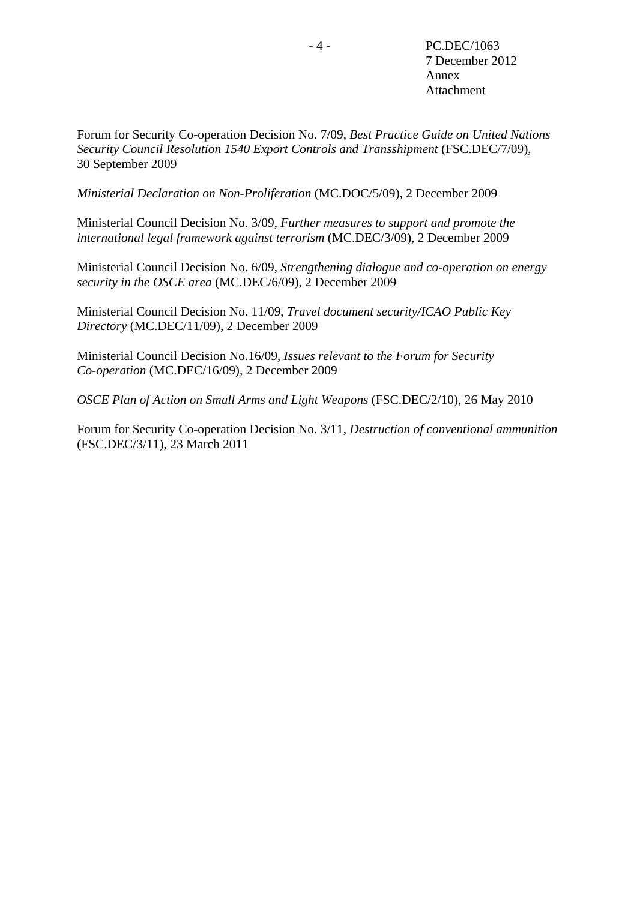Forum for Security Co-operation Decision No. 7/09, *Best Practice Guide on United Nations Security Council Resolution 1540 Export Controls and Transshipment* ([FSC.DEC/7/09\)](http://www.osce.org/fsc/39193), 30 September 2009

*Ministerial Declaration on Non-Proliferation* ([MC.DOC/5/09\)](http://www.osce.org/cio/40692), 2 December 2009

Ministerial Council Decision No. 3/09, *Further measures to support and promote the international legal framework against terrorism* [\(MC.DEC/3/09\)](http://www.osce.org/cio/40693), 2 December 2009

Ministerial Council Decision No. 6/09, *Strengthening dialogue and co-operation on energy security in the OSCE area* ([MC.DEC/6/09](http://www.osce.org/cio/40708)), 2 December 2009

Ministerial Council Decision No. 11/09, *Travel document security/ICAO Public Key Directory* ([MC.DEC/11/09](http://www.osce.org/cio/40706)), 2 December 2009

Ministerial Council Decision No.16/09, *Issues relevant to the Forum for Security Co-operation* ([MC.DEC/16/09](http://www.osce.org/cio/40698)), 2 December 2009

*OSCE Plan of Action on Small Arms and Light Weapons* [\(FSC.DEC/2/10](http://www.osce.org/fsc/68450)), 26 May 2010

Forum for Security Co-operation Decision No. 3/11, *Destruction of conventional ammunition* (FSC.DEC/3/11), 23 March 2011